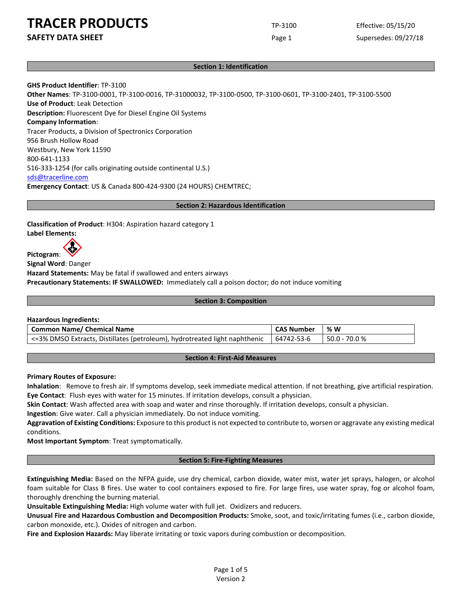# **TRACER PRODUCTS** TRACER TRESS

**SAFETY DATA SHEET** Page 1

Effective: 05/15/20 Supersedes: 09/27/18

# **Section 1: Identification**

**GHS Product Identifier**: TP-3100 **Other Names**: TP-3100-0001, TP-3100-0016, TP-31000032, TP-3100-0500, TP-3100-0601, TP-3100-2401, TP-3100-5500 **Use of Product**: Leak Detection **Description:** Fluorescent Dye for Diesel Engine Oil Systems **Company Information**: Tracer Products, a Division of Spectronics Corporation 956 Brush Hollow Road Westbury, New York 11590 800-641-1133 516-333-1254 (for calls originating outside continental U.S.) [sds@tracerline.com](mailto:sds@tracerline.com) **Emergency Contact**: US & Canada 800-424-9300 (24 HOURS) CHEMTREC;

## **Section 2: Hazardous Identification**

**Classification of Product**: H304: Aspiration hazard category 1 **Label Elements:** 

**Pictogram**:

**Signal Word**: Danger **Hazard Statements:** May be fatal if swallowed and enters airways **Precautionary Statements: IF SWALLOWED:** Immediately call a poison doctor; do not induce vomiting

### **Section 3: Composition**

### **Hazardous Ingredients:**

| Common Name/ Chemical Name                                                 | <b>CAS Number</b> | ∣% W            |
|----------------------------------------------------------------------------|-------------------|-----------------|
| <=3% DMSO Extracts, Distillates (petroleum), hydrotreated light naphthenic | $164742 - 53 - 6$ | $50.0 - 70.0 %$ |

### **Section 4: First-Aid Measures**

# **Primary Routes of Exposure:**

**Inhalation**: Remove to fresh air. If symptoms develop, seek immediate medical attention. If not breathing, give artificial respiration. **Eye Contact**: Flush eyes with water for 15 minutes. If irritation develops, consult a physician.

**Skin Contact**: Wash affected area with soap and water and rinse thoroughly. If irritation develops, consult a physician.

**Ingestion**: Give water. Call a physician immediately. Do not induce vomiting.

**Aggravation of Existing Conditions:** Exposure to this product is not expected to contribute to, worsen or aggravate any existing medical conditions.

**Most Important Symptom**: Treat symptomatically.

### **Section 5: Fire-Fighting Measures**

**Extinguishing Media:** Based on the NFPA guide, use dry chemical, carbon dioxide, water mist, water jet sprays, halogen, or alcohol foam suitable for Class B fires. Use water to cool containers exposed to fire. For large fires, use water spray, fog or alcohol foam, thoroughly drenching the burning material.

**Unsuitable Extinguishing Media:** High volume water with full jet. Oxidizers and reducers.

**Unusual Fire and Hazardous Combustion and Decomposition Products:** Smoke, soot, and toxic/irritating fumes (i.e., carbon dioxide, carbon monoxide, etc.). Oxides of nitrogen and carbon.

**Fire and Explosion Hazards:** May liberate irritating or toxic vapors during combustion or decomposition.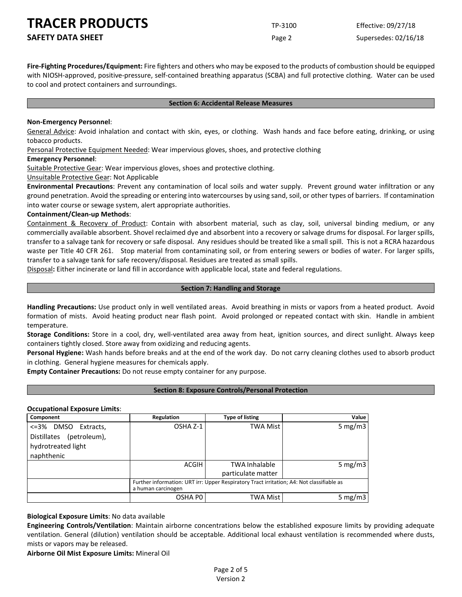**SAFETY DATA SHEET** SUPERFOUR CONSIDERING Page 2 Supersedes: 02/16/18

**Fire-Fighting Procedures/Equipment:** Fire fighters and others who may be exposed to the products of combustion should be equipped with NIOSH-approved, positive-pressure, self-contained breathing apparatus (SCBA) and full protective clothing. Water can be used to cool and protect containers and surroundings.

### **Section 6: Accidental Release Measures**

### **Non-Emergency Personnel**:

General Advice: Avoid inhalation and contact with skin, eyes, or clothing. Wash hands and face before eating, drinking, or using tobacco products.

Personal Protective Equipment Needed: Wear impervious gloves, shoes, and protective clothing

## **Emergency Personnel**:

Suitable Protective Gear: Wear impervious gloves, shoes and protective clothing.

Unsuitable Protective Gear: Not Applicable

**Environmental Precautions**: Prevent any contamination of local soils and water supply. Prevent ground water infiltration or any ground penetration. Avoid the spreading or entering into watercourses by using sand, soil, or other types of barriers. If contamination into water course or sewage system, alert appropriate authorities.

## **Containment/Clean-up Methods**:

Containment & Recovery of Product: Contain with absorbent material, such as clay, soil, universal binding medium, or any commercially available absorbent. Shovel reclaimed dye and absorbent into a recovery or salvage drums for disposal. For larger spills, transfer to a salvage tank for recovery or safe disposal. Any residues should be treated like a small spill. This is not a RCRA hazardous waste per Title 40 CFR 261. Stop material from contaminating soil, or from entering sewers or bodies of water. For larger spills, transfer to a salvage tank for safe recovery/disposal. Residues are treated as small spills.

Disposal**:** Either incinerate or land fill in accordance with applicable local, state and federal regulations.

## **Section 7: Handling and Storage**

**Handling Precautions:** Use product only in well ventilated areas. Avoid breathing in mists or vapors from a heated product. Avoid formation of mists. Avoid heating product near flash point. Avoid prolonged or repeated contact with skin. Handle in ambient temperature.

**Storage Conditions:** Store in a cool, dry, well-ventilated area away from heat, ignition sources, and direct sunlight. Always keep containers tightly closed. Store away from oxidizing and reducing agents.

**Personal Hygiene:** Wash hands before breaks and at the end of the work day. Do not carry cleaning clothes used to absorb product in clothing. General hygiene measures for chemicals apply.

**Empty Container Precautions:** Do not reuse empty container for any purpose.

# **Section 8: Exposure Controls/Personal Protection**

# **Occupational Exposure Limits**:

| Component                   | Regulation                                                                                                      | <b>Type of listing</b> | Value      |
|-----------------------------|-----------------------------------------------------------------------------------------------------------------|------------------------|------------|
| <=3%<br>DMSO Extracts,      | OSHA Z-1                                                                                                        | <b>TWA Mist</b>        | 5 mg/m $3$ |
| (petroleum),<br>Distillates |                                                                                                                 |                        |            |
| hydrotreated light          |                                                                                                                 |                        |            |
| naphthenic                  |                                                                                                                 |                        |            |
|                             | ACGIH                                                                                                           | <b>TWA Inhalable</b>   | 5 mg/m $3$ |
|                             |                                                                                                                 | particulate matter     |            |
|                             | Further information: URT irr: Upper Respiratory Tract irritation; A4: Not classifiable as<br>a human carcinogen |                        |            |
|                             | OSHA PO                                                                                                         | <b>TWA Mist</b>        | 5 mg/m $3$ |

**Biological Exposure Limits**: No data available

**Engineering Controls/Ventilation**: Maintain airborne concentrations below the established exposure limits by providing adequate ventilation. General (dilution) ventilation should be acceptable. Additional local exhaust ventilation is recommended where dusts, mists or vapors may be released.

**Airborne Oil Mist Exposure Limits:** Mineral Oil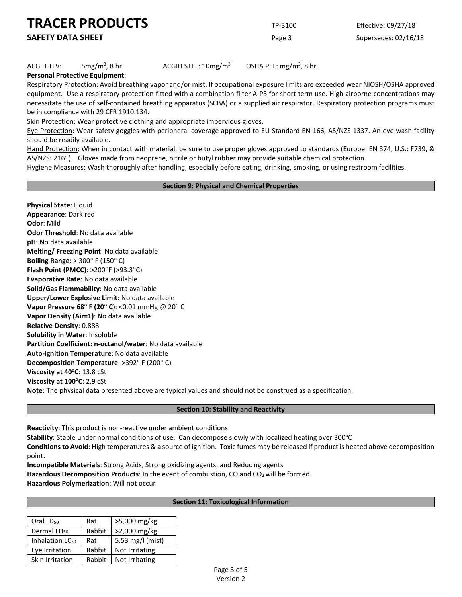**SAFETY DATA SHEET** SUPERFOUR CONSUMING THE Page 3 Supersedes: 02/16/18

# $ACGIH TLV:$  5mg/m<sup>3</sup>, 8 hr.

ACGIH STEL:  $10$ mg/m<sup>3</sup> OSHA PEL: mg/m<sup>3</sup>, 8 hr.

**Personal Protective Equipment**:

Respiratory Protection: Avoid breathing vapor and/or mist. If occupational exposure limits are exceeded wear NIOSH/OSHA approved equipment. Use a respiratory protection fitted with a combination filter A-P3 for short term use. High airborne concentrations may necessitate the use of self-contained breathing apparatus (SCBA) or a supplied air respirator. Respiratory protection programs must be in compliance with 29 CFR 1910.134.

Skin Protection: Wear protective clothing and appropriate impervious gloves.

Eye Protection: Wear safety goggles with peripheral coverage approved to EU Standard EN 166, AS/NZS 1337. An eye wash facility should be readily available.

Hand Protection: When in contact with material, be sure to use proper gloves approved to standards (Europe: EN 374, U.S.: F739, & AS/NZS: 2161). Gloves made from neoprene, nitrile or butyl rubber may provide suitable chemical protection.

Hygiene Measures: Wash thoroughly after handling, especially before eating, drinking, smoking, or using restroom facilities.

## **Section 9: Physical and Chemical Properties**

**Physical State**: Liquid **Appearance**: Dark red **Odor**: Mild **Odor Threshold**: No data available **pH**: No data available **Melting/ Freezing Point**: No data available **Boiling Range**: > 300° F (150° C) **Flash Point (PMCC)**: >200°F (>93.3°C) **Evaporative Rate**: No data available **Solid/Gas Flammability**: No data available **Upper/Lower Explosive Limit**: No data available **Vapor Pressure 68**° **F (20**° **C)**: <0.01 mmHg @ 20° C **Vapor Density (Air=1)**: No data available **Relative Density**: 0.888 **Solubility in Water**: Insoluble **Partition Coefficient: n-octanol/water**: No data available **Auto-ignition Temperature**: No data available **Decomposition Temperature**: >392° F (200° C) **Viscosity at 40<sup>o</sup>C**: 13.8 cSt **Viscosity at 100<sup>o</sup>C**: 2.9 cSt **Note:** The physical data presented above are typical values and should not be construed as a specification.

## **Section 10: Stability and Reactivity**

**Reactivity**: This product is non-reactive under ambient conditions

**Stability**: Stable under normal conditions of use. Can decompose slowly with localized heating over 300°C

**Conditions to Avoid**: High temperatures & a source of ignition. Toxic fumes may be released if product is heated above decomposition point.

**Incompatible Materials**: Strong Acids, Strong oxidizing agents, and Reducing agents

Hazardous Decomposition Products: In the event of combustion, CO and CO<sub>2</sub> will be formed.

**Hazardous Polymerization**: Will not occur

# **Section 11: Toxicological Information**

| Oral LD <sub>50</sub>       | Rat    | >5,000 mg/kg     |
|-----------------------------|--------|------------------|
| Dermal LD <sub>50</sub>     | Rabbit | >2,000 mg/kg     |
| Inhalation LC <sub>50</sub> | Rat    | 5.53 mg/l (mist) |
| Eye Irritation              | Rabbit | Not Irritating   |
| Skin Irritation             | Rabbit | Not Irritating   |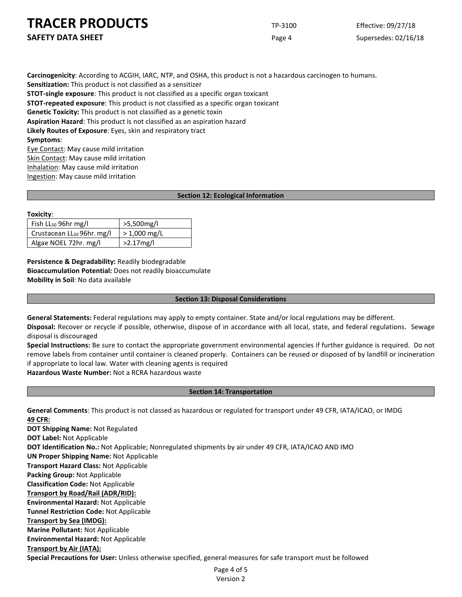**SAFETY DATA SHEET** SUPERFOUR Page 4 Supersedes: 02/16/18

**Carcinogenicity**: According to ACGIH, IARC, NTP, and OSHA, this product is not a hazardous carcinogen to humans. **Sensitization:** This product is not classified as a sensitizer **STOT-single exposure**: This product is not classified as a specific organ toxicant **STOT-repeated exposure**: This product is not classified as a specific organ toxicant **Genetic Toxicity:** This product is not classified as a genetic toxin **Aspiration Hazard**: This product is not classified as an aspiration hazard **Likely Routes of Exposure**: Eyes, skin and respiratory tract **Symptoms**: Eye Contact: May cause mild irritation Skin Contact: May cause mild irritation

Inhalation: May cause mild irritation Ingestion: May cause mild irritation

## **Section 12: Ecological Information**

### **Toxicity**:

| Fish $LL_{50}$ 96hr mg/l               | >5,500mg/l     |
|----------------------------------------|----------------|
| Crustacean LL <sub>50</sub> 96hr. mg/l | $> 1,000$ mg/L |
| Algae NOEL 72hr. mg/l                  | $>2.17$ mg/l   |

**Persistence & Degradability:** Readily biodegradable **Bioaccumulation Potential:** Does not readily bioaccumulate **Mobility in Soil**: No data available

# **Section 13: Disposal Considerations**

**General Statements:** Federal regulations may apply to empty container. State and/or local regulations may be different. **Disposal:** Recover or recycle if possible, otherwise, dispose of in accordance with all local, state, and federal regulations. Sewage disposal is discouraged

**Special Instructions:** Be sure to contact the appropriate government environmental agencies if further guidance is required. Do not remove labels from container until container is cleaned properly. Containers can be reused or disposed of by landfill or incineration if appropriate to local law. Water with cleaning agents is required

**Hazardous Waste Number:** Not a RCRA hazardous waste

# **Section 14: Transportation**

**General Comments**: This product is not classed as hazardous or regulated for transport under 49 CFR, IATA/ICAO, or IMDG **49 CFR:**

**DOT Shipping Name:** Not Regulated **DOT Label:** Not Applicable **DOT Identification No.:** Not Applicable; Nonregulated shipments by air under 49 CFR, IATA/ICAO AND IMO **UN Proper Shipping Name:** Not Applicable **Transport Hazard Class:** Not Applicable **Packing Group:** Not Applicable **Classification Code:** Not Applicable **Transport by Road/Rail (ADR/RID): Environmental Hazard:** Not Applicable **Tunnel Restriction Code:** Not Applicable **Transport by Sea (IMDG): Marine Pollutant:** Not Applicable **Environmental Hazard:** Not Applicable **Transport by Air (IATA): Special Precautions for User:** Unless otherwise specified, general measures for safe transport must be followed

Page 4 of 5 Version 2